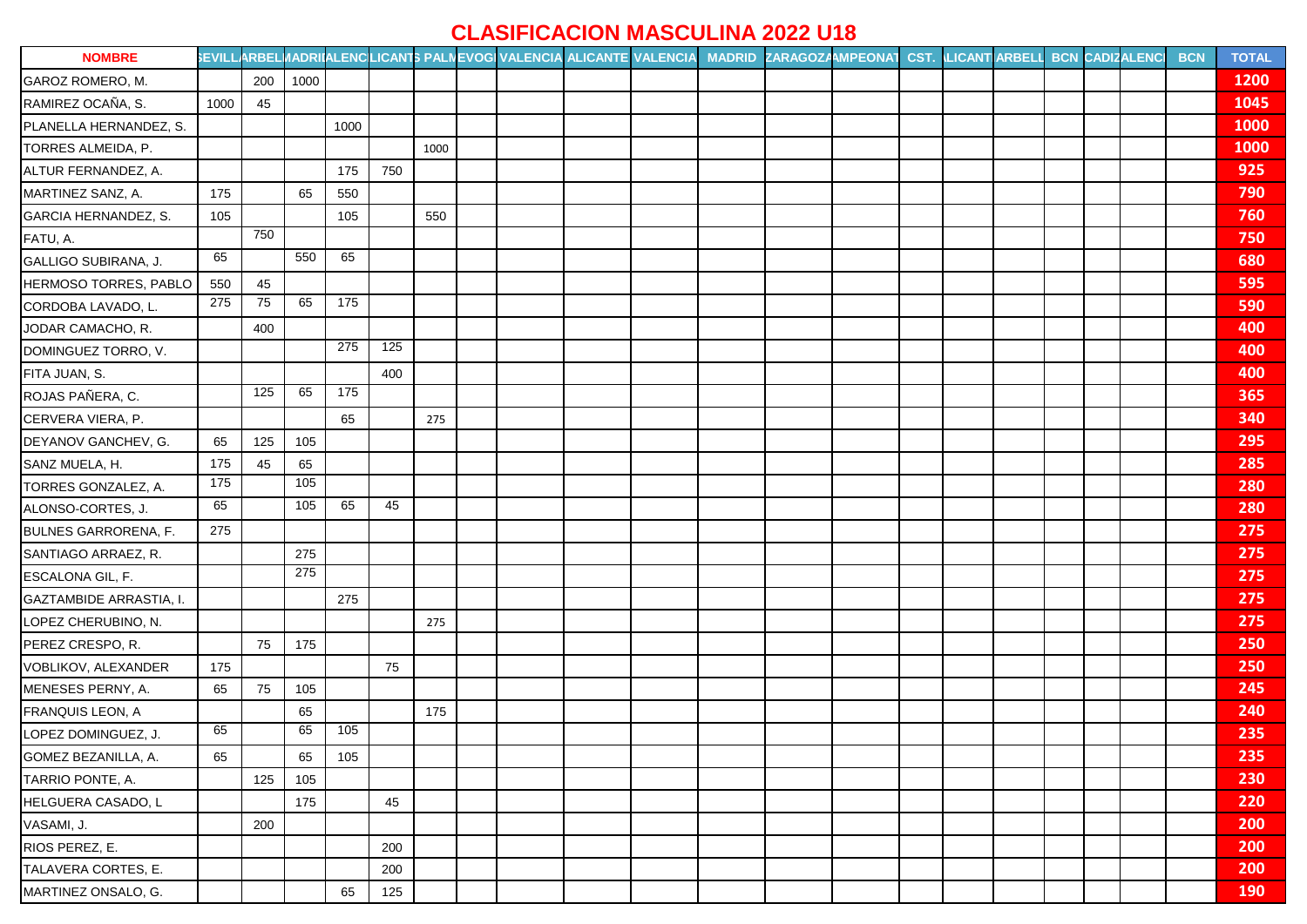## **CLASIFICACION MASCULINA 2022 U18**

| <b>NOMBRE</b>               |      |     |      |      |     |      |  | SEVILLARBELI/ADRIIALENCLICANTS PALNEVOGI VALENCIA ALICANTE VALENCIA MADRID ZARAGOZAMPEONAT CST. LICANT ARBELL BCN CADIZALENCI |  |  |  |  | <b>BCN</b> | <b>TOTAL</b> |
|-----------------------------|------|-----|------|------|-----|------|--|-------------------------------------------------------------------------------------------------------------------------------|--|--|--|--|------------|--------------|
| GAROZ ROMERO, M.            |      | 200 | 1000 |      |     |      |  |                                                                                                                               |  |  |  |  |            | 1200         |
| RAMIREZ OCAÑA, S.           | 1000 | 45  |      |      |     |      |  |                                                                                                                               |  |  |  |  |            | 1045         |
| PLANELLA HERNANDEZ, S.      |      |     |      | 1000 |     |      |  |                                                                                                                               |  |  |  |  |            | <b>1000</b>  |
| TORRES ALMEIDA, P.          |      |     |      |      |     | 1000 |  |                                                                                                                               |  |  |  |  |            | 1000         |
| ALTUR FERNANDEZ, A.         |      |     |      | 175  | 750 |      |  |                                                                                                                               |  |  |  |  |            | 925          |
| MARTINEZ SANZ, A.           | 175  |     | 65   | 550  |     |      |  |                                                                                                                               |  |  |  |  |            | 790          |
| GARCIA HERNANDEZ, S.        | 105  |     |      | 105  |     | 550  |  |                                                                                                                               |  |  |  |  |            | 760          |
| FATU, A.                    |      | 750 |      |      |     |      |  |                                                                                                                               |  |  |  |  |            | 750          |
| GALLIGO SUBIRANA, J.        | 65   |     | 550  | 65   |     |      |  |                                                                                                                               |  |  |  |  |            | 680          |
| HERMOSO TORRES, PABLO       | 550  | 45  |      |      |     |      |  |                                                                                                                               |  |  |  |  |            | 595          |
| CORDOBA LAVADO, L.          | 275  | 75  | 65   | 175  |     |      |  |                                                                                                                               |  |  |  |  |            | 590          |
| JODAR CAMACHO, R.           |      | 400 |      |      |     |      |  |                                                                                                                               |  |  |  |  |            | 400          |
| DOMINGUEZ TORRO, V.         |      |     |      | 275  | 125 |      |  |                                                                                                                               |  |  |  |  |            | 400          |
| FITA JUAN, S.               |      |     |      |      | 400 |      |  |                                                                                                                               |  |  |  |  |            | 400          |
| ROJAS PAÑERA, C.            |      | 125 | 65   | 175  |     |      |  |                                                                                                                               |  |  |  |  |            | 365          |
| CERVERA VIERA, P.           |      |     |      | 65   |     | 275  |  |                                                                                                                               |  |  |  |  |            | 340          |
| DEYANOV GANCHEV, G.         | 65   | 125 | 105  |      |     |      |  |                                                                                                                               |  |  |  |  |            | 295          |
| SANZ MUELA, H.              | 175  | 45  | 65   |      |     |      |  |                                                                                                                               |  |  |  |  |            | 285          |
| TORRES GONZALEZ, A.         | 175  |     | 105  |      |     |      |  |                                                                                                                               |  |  |  |  |            | 280          |
| ALONSO-CORTES, J.           | 65   |     | 105  | 65   | 45  |      |  |                                                                                                                               |  |  |  |  |            | 280          |
| <b>BULNES GARRORENA, F.</b> | 275  |     |      |      |     |      |  |                                                                                                                               |  |  |  |  |            | 275          |
| SANTIAGO ARRAEZ, R.         |      |     | 275  |      |     |      |  |                                                                                                                               |  |  |  |  |            | 275          |
| ESCALONA GIL, F.            |      |     | 275  |      |     |      |  |                                                                                                                               |  |  |  |  |            | 275          |
| GAZTAMBIDE ARRASTIA, I.     |      |     |      | 275  |     |      |  |                                                                                                                               |  |  |  |  |            | 275          |
| LOPEZ CHERUBINO, N.         |      |     |      |      |     | 275  |  |                                                                                                                               |  |  |  |  |            | 275          |
| PEREZ CRESPO, R.            |      | 75  | 175  |      |     |      |  |                                                                                                                               |  |  |  |  |            | 250          |
| VOBLIKOV, ALEXANDER         | 175  |     |      |      | 75  |      |  |                                                                                                                               |  |  |  |  |            | 250          |
| MENESES PERNY, A.           | 65   | 75  | 105  |      |     |      |  |                                                                                                                               |  |  |  |  |            | 245          |
| <b>FRANQUIS LEON, A</b>     |      |     | 65   |      |     | 175  |  |                                                                                                                               |  |  |  |  |            | 240          |
| LOPEZ DOMINGUEZ, J.         | 65   |     | 65   | 105  |     |      |  |                                                                                                                               |  |  |  |  |            | 235          |
| GOMEZ BEZANILLA, A.         | 65   |     | 65   | 105  |     |      |  |                                                                                                                               |  |  |  |  |            | 235          |
| TARRIO PONTE, A.            |      | 125 | 105  |      |     |      |  |                                                                                                                               |  |  |  |  |            | 230          |
| HELGUERA CASADO, L          |      |     | 175  |      | 45  |      |  |                                                                                                                               |  |  |  |  |            | 220          |
| VASAMI, J.                  |      | 200 |      |      |     |      |  |                                                                                                                               |  |  |  |  |            | 200          |
| RIOS PEREZ, E.              |      |     |      |      | 200 |      |  |                                                                                                                               |  |  |  |  |            | 200          |
| TALAVERA CORTES, E.         |      |     |      |      | 200 |      |  |                                                                                                                               |  |  |  |  |            | 200          |
| MARTINEZ ONSALO, G.         |      |     |      | 65   | 125 |      |  |                                                                                                                               |  |  |  |  |            | 190          |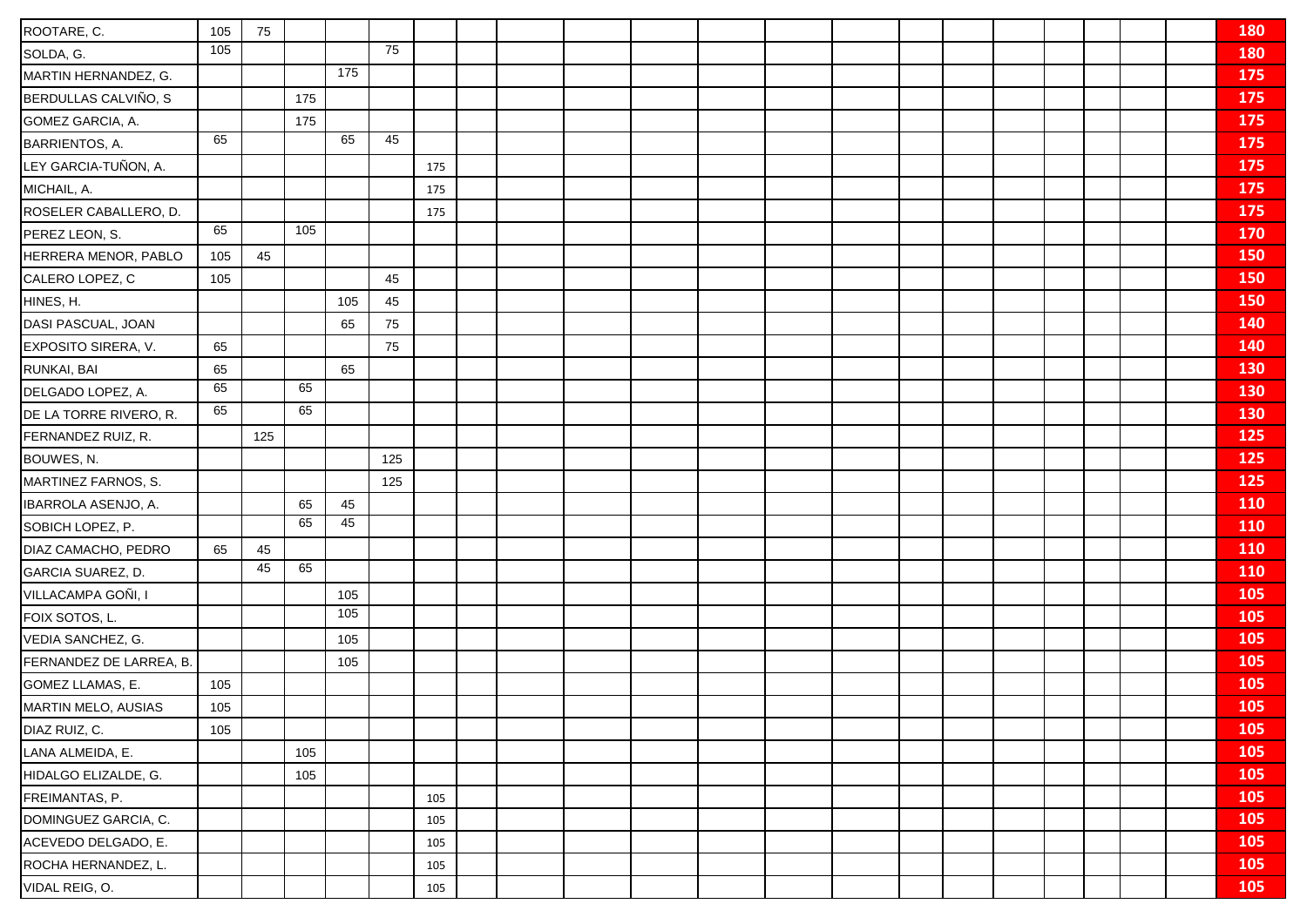| ROOTARE, C.                | 105 | 75  |     |                 |     |     |  |  |  |  |  |  |  | 180        |
|----------------------------|-----|-----|-----|-----------------|-----|-----|--|--|--|--|--|--|--|------------|
| SOLDA, G.                  | 105 |     |     |                 | 75  |     |  |  |  |  |  |  |  | 180        |
| MARTIN HERNANDEZ, G.       |     |     |     | 175             |     |     |  |  |  |  |  |  |  | 175        |
| BERDULLAS CALVIÑO, S       |     |     | 175 |                 |     |     |  |  |  |  |  |  |  | 175        |
| GOMEZ GARCIA, A.           |     |     | 175 |                 |     |     |  |  |  |  |  |  |  | 175        |
| BARRIENTOS, A.             | 65  |     |     | 65              | 45  |     |  |  |  |  |  |  |  | 175        |
| LEY GARCIA-TUÑON, A.       |     |     |     |                 |     | 175 |  |  |  |  |  |  |  | 175        |
| MICHAIL, A.                |     |     |     |                 |     | 175 |  |  |  |  |  |  |  | 175        |
| ROSELER CABALLERO, D.      |     |     |     |                 |     | 175 |  |  |  |  |  |  |  | 175        |
| PEREZ LEON, S.             | 65  |     | 105 |                 |     |     |  |  |  |  |  |  |  | <b>170</b> |
| HERRERA MENOR, PABLO       | 105 | 45  |     |                 |     |     |  |  |  |  |  |  |  | 150        |
| CALERO LOPEZ, C            | 105 |     |     |                 | 45  |     |  |  |  |  |  |  |  | 150        |
| HINES, H.                  |     |     |     | 105             | 45  |     |  |  |  |  |  |  |  | 150        |
| DASI PASCUAL, JOAN         |     |     |     | 65              | 75  |     |  |  |  |  |  |  |  | 140        |
| EXPOSITO SIRERA, V.        | 65  |     |     |                 | 75  |     |  |  |  |  |  |  |  | 140        |
| RUNKAI, BAI                | 65  |     |     | 65              |     |     |  |  |  |  |  |  |  | 130        |
| DELGADO LOPEZ, A.          | 65  |     | 65  |                 |     |     |  |  |  |  |  |  |  | 130        |
| DE LA TORRE RIVERO, R.     | 65  |     | 65  |                 |     |     |  |  |  |  |  |  |  | 130        |
| FERNANDEZ RUIZ, R.         |     | 125 |     |                 |     |     |  |  |  |  |  |  |  | 125        |
| BOUWES, N.                 |     |     |     |                 | 125 |     |  |  |  |  |  |  |  | 125        |
| MARTINEZ FARNOS, S.        |     |     |     |                 | 125 |     |  |  |  |  |  |  |  | 125        |
| IBARROLA ASENJO, A.        |     |     | 65  | 45              |     |     |  |  |  |  |  |  |  | <b>110</b> |
| SOBICH LOPEZ, P.           |     |     | 65  | 45              |     |     |  |  |  |  |  |  |  | 110        |
| DIAZ CAMACHO, PEDRO        | 65  | 45  |     |                 |     |     |  |  |  |  |  |  |  | <b>110</b> |
| GARCIA SUAREZ, D.          |     | 45  | 65  |                 |     |     |  |  |  |  |  |  |  | 110        |
| VILLACAMPA GOÑI, I         |     |     |     | 105             |     |     |  |  |  |  |  |  |  | 105        |
| FOIX SOTOS, L.             |     |     |     | $\frac{105}{2}$ |     |     |  |  |  |  |  |  |  | 105        |
| VEDIA SANCHEZ, G.          |     |     |     | 105             |     |     |  |  |  |  |  |  |  | 105        |
| FERNANDEZ DE LARREA, B.    |     |     |     | 105             |     |     |  |  |  |  |  |  |  | 105        |
| GOMEZ LLAMAS, E.           | 105 |     |     |                 |     |     |  |  |  |  |  |  |  | 105        |
| <b>MARTIN MELO, AUSIAS</b> | 105 |     |     |                 |     |     |  |  |  |  |  |  |  | 105        |
| DIAZ RUIZ, C.              | 105 |     |     |                 |     |     |  |  |  |  |  |  |  | 105        |
| LANA ALMEIDA, E.           |     |     | 105 |                 |     |     |  |  |  |  |  |  |  | 105        |
| HIDALGO ELIZALDE, G.       |     |     | 105 |                 |     |     |  |  |  |  |  |  |  | 105        |
| FREIMANTAS, P.             |     |     |     |                 |     | 105 |  |  |  |  |  |  |  | 105        |
| DOMINGUEZ GARCIA, C.       |     |     |     |                 |     | 105 |  |  |  |  |  |  |  | 105        |
| ACEVEDO DELGADO, E.        |     |     |     |                 |     | 105 |  |  |  |  |  |  |  | 105        |
| ROCHA HERNANDEZ, L.        |     |     |     |                 |     | 105 |  |  |  |  |  |  |  | 105        |
| VIDAL REIG, O.             |     |     |     |                 |     | 105 |  |  |  |  |  |  |  | 105        |
|                            |     |     |     |                 |     |     |  |  |  |  |  |  |  |            |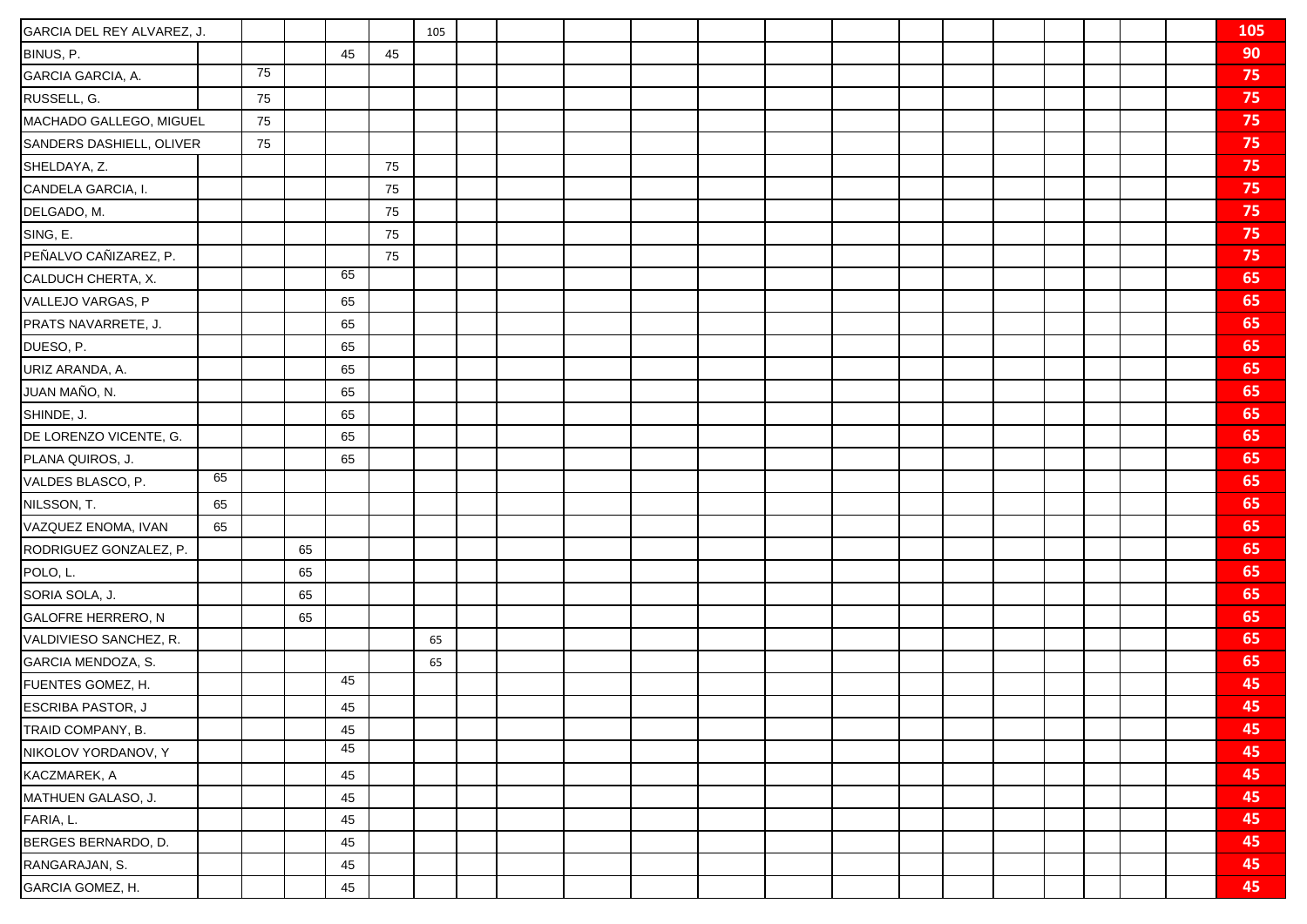| GARCIA DEL REY ALVAREZ, J. |    |    |    |    |    | 105 |  |  |  |  |  |  |  | 105 |
|----------------------------|----|----|----|----|----|-----|--|--|--|--|--|--|--|-----|
| BINUS, P.                  |    |    |    | 45 | 45 |     |  |  |  |  |  |  |  | 90  |
| GARCIA GARCIA, A.          |    | 75 |    |    |    |     |  |  |  |  |  |  |  | 75  |
| RUSSELL, G.                |    | 75 |    |    |    |     |  |  |  |  |  |  |  | 75  |
| MACHADO GALLEGO, MIGUEL    |    | 75 |    |    |    |     |  |  |  |  |  |  |  | 75  |
| SANDERS DASHIELL, OLIVER   |    | 75 |    |    |    |     |  |  |  |  |  |  |  | 75  |
| SHELDAYA, Z.               |    |    |    |    | 75 |     |  |  |  |  |  |  |  | 75  |
| CANDELA GARCIA, I.         |    |    |    |    | 75 |     |  |  |  |  |  |  |  | 75  |
| DELGADO, M.                |    |    |    |    | 75 |     |  |  |  |  |  |  |  | 75  |
| SING, E.                   |    |    |    |    | 75 |     |  |  |  |  |  |  |  | 75  |
| PEÑALVO CAÑIZAREZ, P.      |    |    |    |    | 75 |     |  |  |  |  |  |  |  | 75  |
| CALDUCH CHERTA, X.         |    |    |    | 65 |    |     |  |  |  |  |  |  |  | 65  |
| VALLEJO VARGAS, P          |    |    |    | 65 |    |     |  |  |  |  |  |  |  | 65  |
| PRATS NAVARRETE, J.        |    |    |    | 65 |    |     |  |  |  |  |  |  |  | 65  |
| DUESO, P.                  |    |    |    | 65 |    |     |  |  |  |  |  |  |  | 65  |
| URIZ ARANDA, A.            |    |    |    | 65 |    |     |  |  |  |  |  |  |  | 65  |
| JUAN MAÑO, N.              |    |    |    | 65 |    |     |  |  |  |  |  |  |  | 65  |
| SHINDE, J.                 |    |    |    | 65 |    |     |  |  |  |  |  |  |  | 65  |
| DE LORENZO VICENTE, G.     |    |    |    | 65 |    |     |  |  |  |  |  |  |  | 65  |
| PLANA QUIROS, J.           |    |    |    | 65 |    |     |  |  |  |  |  |  |  | 65  |
| VALDES BLASCO, P.          | 65 |    |    |    |    |     |  |  |  |  |  |  |  | 65  |
| NILSSON, T.                | 65 |    |    |    |    |     |  |  |  |  |  |  |  | 65  |
| VAZQUEZ ENOMA, IVAN        | 65 |    |    |    |    |     |  |  |  |  |  |  |  | 65  |
| RODRIGUEZ GONZALEZ, P.     |    |    | 65 |    |    |     |  |  |  |  |  |  |  | 65  |
| POLO, L.                   |    |    | 65 |    |    |     |  |  |  |  |  |  |  | 65  |
| SORIA SOLA, J.             |    |    | 65 |    |    |     |  |  |  |  |  |  |  | 65  |
| <b>GALOFRE HERRERO, N</b>  |    |    | 65 |    |    |     |  |  |  |  |  |  |  | 65  |
| VALDIVIESO SANCHEZ, R.     |    |    |    |    |    | 65  |  |  |  |  |  |  |  | 65  |
| GARCIA MENDOZA, S.         |    |    |    |    |    | 65  |  |  |  |  |  |  |  | 65  |
| FUENTES GOMEZ, H.          |    |    |    | 45 |    |     |  |  |  |  |  |  |  | 45  |
| <b>ESCRIBA PASTOR, J</b>   |    |    |    | 45 |    |     |  |  |  |  |  |  |  | 45  |
| TRAID COMPANY, B.          |    |    |    | 45 |    |     |  |  |  |  |  |  |  | 45  |
| NIKOLOV YORDANOV, Y        |    |    |    | 45 |    |     |  |  |  |  |  |  |  | 45  |
| KACZMAREK, A               |    |    |    | 45 |    |     |  |  |  |  |  |  |  | 45  |
| MATHUEN GALASO, J.         |    |    |    | 45 |    |     |  |  |  |  |  |  |  | 45  |
| FARIA, L.                  |    |    |    | 45 |    |     |  |  |  |  |  |  |  | 45  |
| BERGES BERNARDO, D.        |    |    |    | 45 |    |     |  |  |  |  |  |  |  | 45  |
| RANGARAJAN, S.             |    |    |    | 45 |    |     |  |  |  |  |  |  |  | 45  |
| GARCIA GOMEZ, H.           |    |    |    | 45 |    |     |  |  |  |  |  |  |  | 45  |
|                            |    |    |    |    |    |     |  |  |  |  |  |  |  |     |